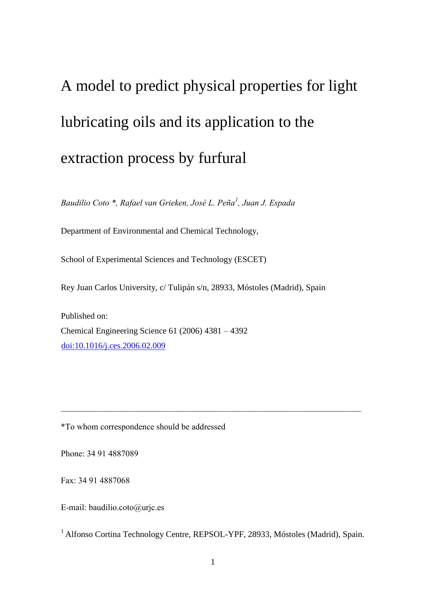# A model to predict physical properties for light lubricating oils and its application to the extraction process by furfural

*Baudilio Coto \*, Rafael van Grieken, José L. Peña<sup>1</sup> , Juan J. Espada*

Department of Environmental and Chemical Technology,

School of Experimental Sciences and Technology (ESCET)

Rey Juan Carlos University, c/ Tulipán s/n, 28933, Móstoles (Madrid), Spain

Published on: Chemical Engineering Science 61 (2006) 4381 – 4392 [doi:10.1016/j.ces.2006.02.009](http://dx.doi.org/10.1016/j.ces.2006.02.009)

\*To whom correspondence should be addressed

Phone: 34 91 4887089

Fax: 34 91 4887068

E-mail: baudilio.coto@urjc.es

<sup>1</sup> Alfonso Cortina Technology Centre, REPSOL-YPF, 28933, Móstoles (Madrid), Spain.

 $\_$  , and the contribution of the contribution of  $\mathcal{L}_\mathcal{A}$  , and the contribution of  $\mathcal{L}_\mathcal{A}$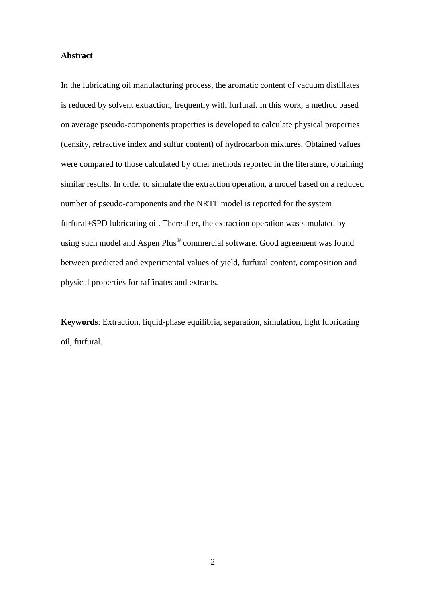## **Abstract**

In the lubricating oil manufacturing process, the aromatic content of vacuum distillates is reduced by solvent extraction, frequently with furfural. In this work, a method based on average pseudo-components properties is developed to calculate physical properties (density, refractive index and sulfur content) of hydrocarbon mixtures. Obtained values were compared to those calculated by other methods reported in the literature, obtaining similar results. In order to simulate the extraction operation, a model based on a reduced number of pseudo-components and the NRTL model is reported for the system furfural+SPD lubricating oil. Thereafter, the extraction operation was simulated by using such model and Aspen Plus® commercial software. Good agreement was found between predicted and experimental values of yield, furfural content, composition and physical properties for raffinates and extracts.

**Keywords**: Extraction, liquid-phase equilibria, separation, simulation, light lubricating oil, furfural.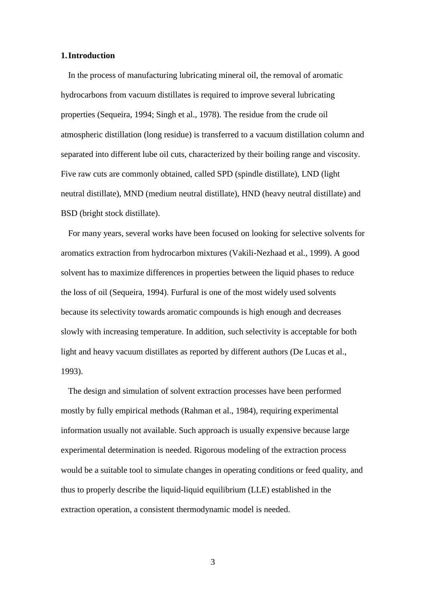#### **1.Introduction**

In the process of manufacturing lubricating mineral oil, the removal of aromatic hydrocarbons from vacuum distillates is required to improve several lubricating properties (Sequeira, 1994; Singh et al., 1978). The residue from the crude oil atmospheric distillation (long residue) is transferred to a vacuum distillation column and separated into different lube oil cuts, characterized by their boiling range and viscosity. Five raw cuts are commonly obtained, called SPD (spindle distillate), LND (light neutral distillate), MND (medium neutral distillate), HND (heavy neutral distillate) and BSD (bright stock distillate).

For many years, several works have been focused on looking for selective solvents for aromatics extraction from hydrocarbon mixtures (Vakili-Nezhaad et al., 1999). A good solvent has to maximize differences in properties between the liquid phases to reduce the loss of oil (Sequeira, 1994). Furfural is one of the most widely used solvents because its selectivity towards aromatic compounds is high enough and decreases slowly with increasing temperature. In addition, such selectivity is acceptable for both light and heavy vacuum distillates as reported by different authors (De Lucas et al., 1993).

The design and simulation of solvent extraction processes have been performed mostly by fully empirical methods (Rahman et al., 1984), requiring experimental information usually not available. Such approach is usually expensive because large experimental determination is needed. Rigorous modeling of the extraction process would be a suitable tool to simulate changes in operating conditions or feed quality, and thus to properly describe the liquid-liquid equilibrium (LLE) established in the extraction operation, a consistent thermodynamic model is needed.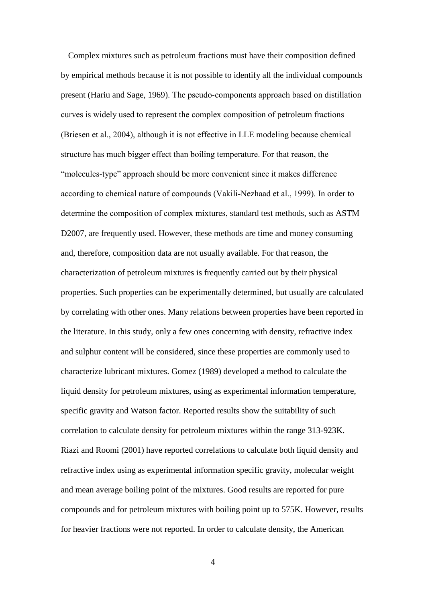Complex mixtures such as petroleum fractions must have their composition defined by empirical methods because it is not possible to identify all the individual compounds present (Hariu and Sage, 1969). The pseudo-components approach based on distillation curves is widely used to represent the complex composition of petroleum fractions (Briesen et al., 2004), although it is not effective in LLE modeling because chemical structure has much bigger effect than boiling temperature. For that reason, the "molecules-type" approach should be more convenient since it makes difference according to chemical nature of compounds (Vakili-Nezhaad et al., 1999). In order to determine the composition of complex mixtures, standard test methods, such as ASTM D2007, are frequently used. However, these methods are time and money consuming and, therefore, composition data are not usually available. For that reason, the characterization of petroleum mixtures is frequently carried out by their physical properties. Such properties can be experimentally determined, but usually are calculated by correlating with other ones. Many relations between properties have been reported in the literature. In this study, only a few ones concerning with density, refractive index and sulphur content will be considered, since these properties are commonly used to characterize lubricant mixtures. Gomez (1989) developed a method to calculate the liquid density for petroleum mixtures, using as experimental information temperature, specific gravity and Watson factor. Reported results show the suitability of such correlation to calculate density for petroleum mixtures within the range 313-923K. Riazi and Roomi (2001) have reported correlations to calculate both liquid density and refractive index using as experimental information specific gravity, molecular weight and mean average boiling point of the mixtures. Good results are reported for pure compounds and for petroleum mixtures with boiling point up to 575K. However, results for heavier fractions were not reported. In order to calculate density, the American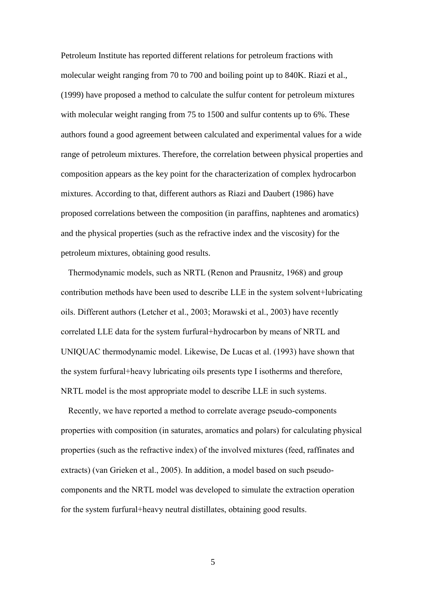Petroleum Institute has reported different relations for petroleum fractions with molecular weight ranging from 70 to 700 and boiling point up to 840K. Riazi et al., (1999) have proposed a method to calculate the sulfur content for petroleum mixtures with molecular weight ranging from 75 to 1500 and sulfur contents up to 6%. These authors found a good agreement between calculated and experimental values for a wide range of petroleum mixtures. Therefore, the correlation between physical properties and composition appears as the key point for the characterization of complex hydrocarbon mixtures. According to that, different authors as Riazi and Daubert (1986) have proposed correlations between the composition (in paraffins, naphtenes and aromatics) and the physical properties (such as the refractive index and the viscosity) for the petroleum mixtures, obtaining good results.

Thermodynamic models, such as NRTL (Renon and Prausnitz, 1968) and group contribution methods have been used to describe LLE in the system solvent+lubricating oils. Different authors (Letcher et al., 2003; Morawski et al., 2003) have recently correlated LLE data for the system furfural+hydrocarbon by means of NRTL and UNIQUAC thermodynamic model. Likewise, De Lucas et al. (1993) have shown that the system furfural+heavy lubricating oils presents type I isotherms and therefore, NRTL model is the most appropriate model to describe LLE in such systems.

Recently, we have reported a method to correlate average pseudo-components properties with composition (in saturates, aromatics and polars) for calculating physical properties (such as the refractive index) of the involved mixtures (feed, raffinates and extracts) (van Grieken et al., 2005). In addition, a model based on such pseudocomponents and the NRTL model was developed to simulate the extraction operation for the system furfural+heavy neutral distillates, obtaining good results.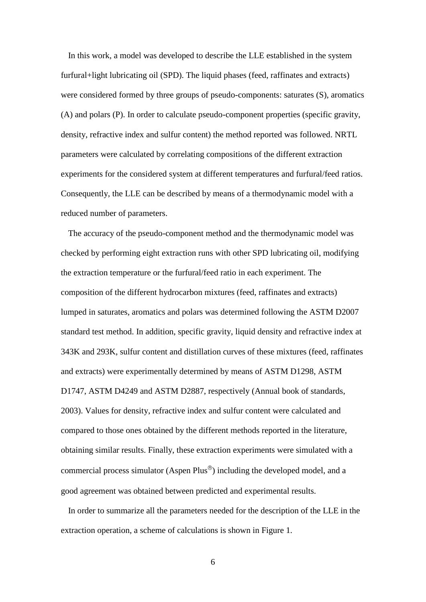In this work, a model was developed to describe the LLE established in the system furfural+light lubricating oil (SPD). The liquid phases (feed, raffinates and extracts) were considered formed by three groups of pseudo-components: saturates (S), aromatics (A) and polars (P). In order to calculate pseudo-component properties (specific gravity, density, refractive index and sulfur content) the method reported was followed. NRTL parameters were calculated by correlating compositions of the different extraction experiments for the considered system at different temperatures and furfural/feed ratios. Consequently, the LLE can be described by means of a thermodynamic model with a reduced number of parameters.

The accuracy of the pseudo-component method and the thermodynamic model was checked by performing eight extraction runs with other SPD lubricating oil, modifying the extraction temperature or the furfural/feed ratio in each experiment. The composition of the different hydrocarbon mixtures (feed, raffinates and extracts) lumped in saturates, aromatics and polars was determined following the ASTM D2007 standard test method. In addition, specific gravity, liquid density and refractive index at 343K and 293K, sulfur content and distillation curves of these mixtures (feed, raffinates and extracts) were experimentally determined by means of ASTM D1298, ASTM D1747, ASTM D4249 and ASTM D2887, respectively (Annual book of standards, 2003). Values for density, refractive index and sulfur content were calculated and compared to those ones obtained by the different methods reported in the literature, obtaining similar results. Finally, these extraction experiments were simulated with a commercial process simulator (Aspen Plus<sup> $\textcircled{\tiny{\textcirc}}$ </sup>) including the developed model, and a good agreement was obtained between predicted and experimental results.

In order to summarize all the parameters needed for the description of the LLE in the extraction operation, a scheme of calculations is shown in Figure 1.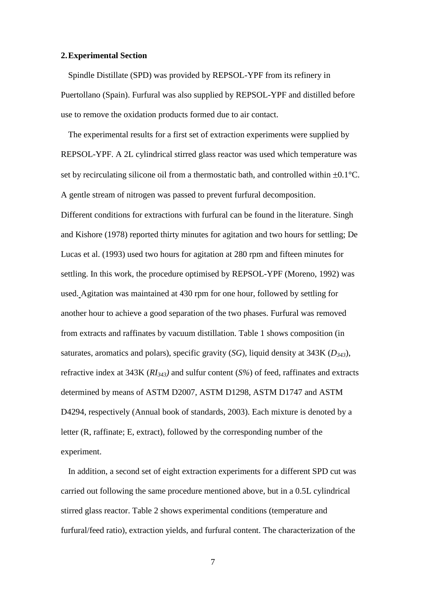#### **2.Experimental Section**

Spindle Distillate (SPD) was provided by REPSOL-YPF from its refinery in Puertollano (Spain). Furfural was also supplied by REPSOL-YPF and distilled before use to remove the oxidation products formed due to air contact.

The experimental results for a first set of extraction experiments were supplied by REPSOL-YPF. A 2L cylindrical stirred glass reactor was used which temperature was set by recirculating silicone oil from a thermostatic bath, and controlled within  $\pm 0.1^{\circ}$ C. A gentle stream of nitrogen was passed to prevent furfural decomposition. Different conditions for extractions with furfural can be found in the literature. Singh and Kishore (1978) reported thirty minutes for agitation and two hours for settling; De Lucas et al. (1993) used two hours for agitation at 280 rpm and fifteen minutes for settling. In this work, the procedure optimised by REPSOL-YPF (Moreno, 1992) was used. Agitation was maintained at 430 rpm for one hour, followed by settling for another hour to achieve a good separation of the two phases. Furfural was removed from extracts and raffinates by vacuum distillation. Table 1 shows composition (in saturates, aromatics and polars), specific gravity (*SG*), liquid density at 343K (*D343*), refractive index at 343K (*RI343)* and sulfur content (*S%*) of feed, raffinates and extracts determined by means of ASTM D2007, ASTM D1298, ASTM D1747 and ASTM D4294, respectively (Annual book of standards, 2003). Each mixture is denoted by a letter (R, raffinate; E, extract), followed by the corresponding number of the experiment.

In addition, a second set of eight extraction experiments for a different SPD cut was carried out following the same procedure mentioned above, but in a 0.5L cylindrical stirred glass reactor. Table 2 shows experimental conditions (temperature and furfural/feed ratio), extraction yields, and furfural content. The characterization of the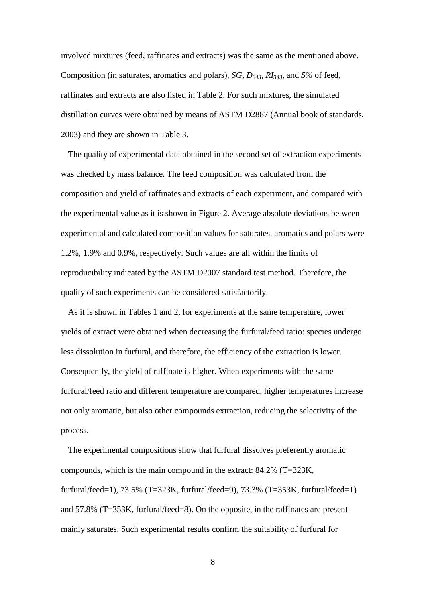involved mixtures (feed, raffinates and extracts) was the same as the mentioned above. Composition (in saturates, aromatics and polars), *SG*, *D343*, *RI343*, and *S%* of feed, raffinates and extracts are also listed in Table 2. For such mixtures, the simulated distillation curves were obtained by means of ASTM D2887 (Annual book of standards, 2003) and they are shown in Table 3.

The quality of experimental data obtained in the second set of extraction experiments was checked by mass balance. The feed composition was calculated from the composition and yield of raffinates and extracts of each experiment, and compared with the experimental value as it is shown in Figure 2. Average absolute deviations between experimental and calculated composition values for saturates, aromatics and polars were 1.2%, 1.9% and 0.9%, respectively. Such values are all within the limits of reproducibility indicated by the ASTM D2007 standard test method. Therefore, the quality of such experiments can be considered satisfactorily.

As it is shown in Tables 1 and 2, for experiments at the same temperature, lower yields of extract were obtained when decreasing the furfural/feed ratio: species undergo less dissolution in furfural, and therefore, the efficiency of the extraction is lower. Consequently, the yield of raffinate is higher. When experiments with the same furfural/feed ratio and different temperature are compared, higher temperatures increase not only aromatic, but also other compounds extraction, reducing the selectivity of the process.

The experimental compositions show that furfural dissolves preferently aromatic compounds, which is the main compound in the extract: 84.2% (T=323K, furfural/feed=1), 73.5% (T=323K, furfural/feed=9), 73.3% (T=353K, furfural/feed=1) and 57.8% (T=353K, furfural/feed=8). On the opposite, in the raffinates are present mainly saturates. Such experimental results confirm the suitability of furfural for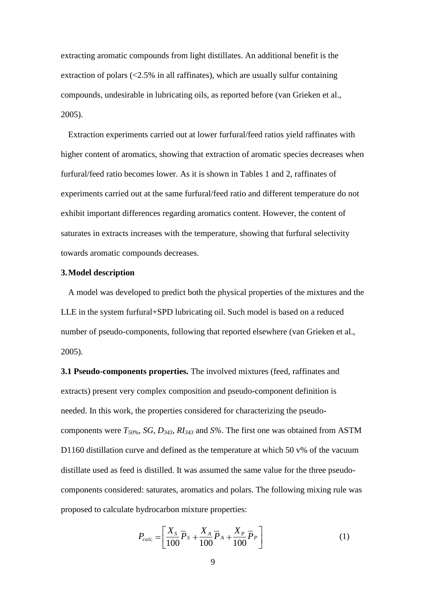extracting aromatic compounds from light distillates. An additional benefit is the extraction of polars  $\langle$  <2.5% in all raffinates), which are usually sulfur containing compounds, undesirable in lubricating oils, as reported before (van Grieken et al., 2005).

Extraction experiments carried out at lower furfural/feed ratios yield raffinates with higher content of aromatics, showing that extraction of aromatic species decreases when furfural/feed ratio becomes lower. As it is shown in Tables 1 and 2, raffinates of experiments carried out at the same furfural/feed ratio and different temperature do not exhibit important differences regarding aromatics content. However, the content of saturates in extracts increases with the temperature, showing that furfural selectivity towards aromatic compounds decreases.

### **3.Model description**

A model was developed to predict both the physical properties of the mixtures and the LLE in the system furfural+SPD lubricating oil. Such model is based on a reduced number of pseudo-components, following that reported elsewhere (van Grieken et al., 2005).

**3.1 Pseudo-components properties.** The involved mixtures (feed, raffinates and extracts) present very complex composition and pseudo-component definition is needed. In this work, the properties considered for characterizing the pseudocomponents were *T50%*, *SG*, *D343*, *RI<sup>343</sup>* and *S%*. The first one was obtained from ASTM D1160 distillation curve and defined as the temperature at which 50 v% of the vacuum distillate used as feed is distilled. It was assumed the same value for the three pseudocomponents considered: saturates, aromatics and polars. The following mixing rule was proposed to calculate hydrocarbon mixture properties:

$$
P_{calc} = \left[\frac{X_s}{100}\overline{P}_s + \frac{X_A}{100}\overline{P}_A + \frac{X_P}{100}\overline{P}_P\right]
$$
 (1)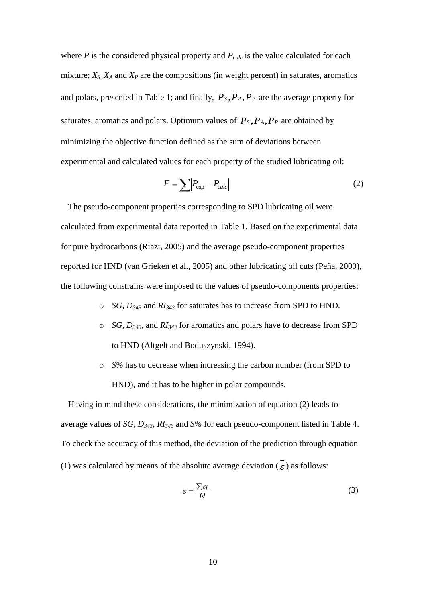where *P* is the considered physical property and  $P_{calc}$  is the value calculated for each mixture;  $X_S$ ,  $X_A$  and  $X_P$  are the compositions (in weight percent) in saturates, aromatics and polars, presented in Table 1; and finally,  $P_s$ ,  $P_A$ ,  $P_P$  are the average property for saturates, aromatics and polars. Optimum values of  $P_s$ ,  $P_A$ ,  $P_P$  are obtained by minimizing the objective function defined as the sum of deviations between experimental and calculated values for each property of the studied lubricating oil:

$$
F = \sum \left| P_{\text{exp}} - P_{\text{calc}} \right| \tag{2}
$$

The pseudo-component properties corresponding to SPD lubricating oil were calculated from experimental data reported in Table 1. Based on the experimental data for pure hydrocarbons (Riazi, 2005) and the average pseudo-component properties reported for HND (van Grieken et al., 2005) and other lubricating oil cuts (Peña, 2000), the following constrains were imposed to the values of pseudo-components properties:

- o *SG, D<sup>343</sup>* and *RI<sup>343</sup>* for saturates has to increase from SPD to HND.
- o *SG, D343,* and *RI<sup>343</sup>* for aromatics and polars have to decrease from SPD to HND (Altgelt and Boduszynski, 1994).
- o *S%* has to decrease when increasing the carbon number (from SPD to HND), and it has to be higher in polar compounds.

Having in mind these considerations, the minimization of equation (2) leads to average values of *SG, D343*, *RI<sup>343</sup>* and *S%* for each pseudo-component listed in Table 4. To check the accuracy of this method, the deviation of the prediction through equation (1) was calculated by means of the absolute average deviation  $\overline{(\varepsilon)}$  as follows:

$$
\bar{\varepsilon} = \frac{\sum \varepsilon_i}{N} \tag{3}
$$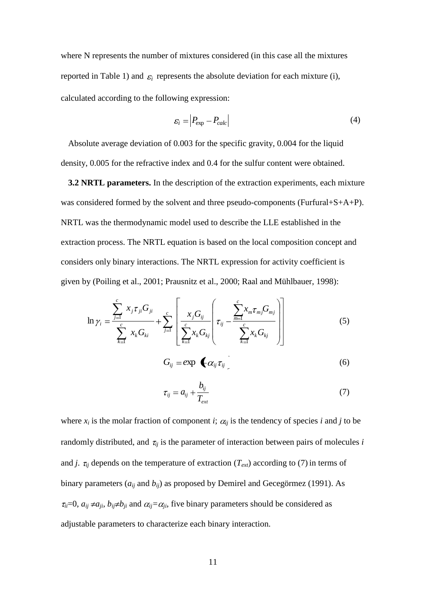where N represents the number of mixtures considered (in this case all the mixtures reported in Table 1) and  $\varepsilon_i$  represents the absolute deviation for each mixture (i), calculated according to the following expression:

$$
\varepsilon_i = \left| P_{\text{exp}} - P_{\text{calc}} \right| \tag{4}
$$

Absolute average deviation of 0.003 for the specific gravity, 0.004 for the liquid density, 0.005 for the refractive index and 0.4 for the sulfur content were obtained.

**3.2 NRTL parameters.** In the description of the extraction experiments, each mixture was considered formed by the solvent and three pseudo-components (Furfural+S+A+P). NRTL was the thermodynamic model used to describe the LLE established in the extraction process. The NRTL equation is based on the local composition concept and considers only binary interactions. The NRTL expression for activity coefficient is given by (Poiling et al., 2001; Prausnitz et al., 2000; Raal and Mühlbauer, 1998):

$$
\ln \gamma_{i} = \frac{\sum_{j=1}^{c} x_{j} \tau_{ji} G_{ji}}{\sum_{k=1}^{c} x_{k} G_{ki}} + \sum_{j=1}^{c} \left[ \frac{x_{j} G_{ij}}{\sum_{k=1}^{c} x_{k} G_{kj}} \left( \tau_{ij} - \frac{\sum_{m=1}^{c} x_{m} \tau_{mj} G_{mj}}{\sum_{k=1}^{c} x_{k} G_{kj}} \right) \right]
$$
(5)

$$
G_{ij} = \exp \left( \mathbf{C}_{ij} \tau_{ij} \right) \tag{6}
$$

$$
\tau_{ij} = a_{ij} + \frac{b_{ij}}{T_{ext}} \tag{7}
$$

where  $x_i$  is the molar fraction of component *i*;  $\alpha_{ij}$  is the tendency of species *i* and *j* to be randomly distributed, and  $\tau_{ij}$  is the parameter of interaction between pairs of molecules *i* and *j*.  $\tau_{ij}$  depends on the temperature of extraction ( $T_{ext}$ ) according to (7) in terms of binary parameters ( $a_{ii}$  and  $b_{ii}$ ) as proposed by Demirel and Gecegörmez (1991). As  $\tau_{ii}=0$ ,  $a_{ij} \neq a_{ji}$ ,  $b_{ij} \neq b_{ji}$  and  $\alpha_{ij} = \alpha_{ji}$ , five binary parameters should be considered as adjustable parameters to characterize each binary interaction.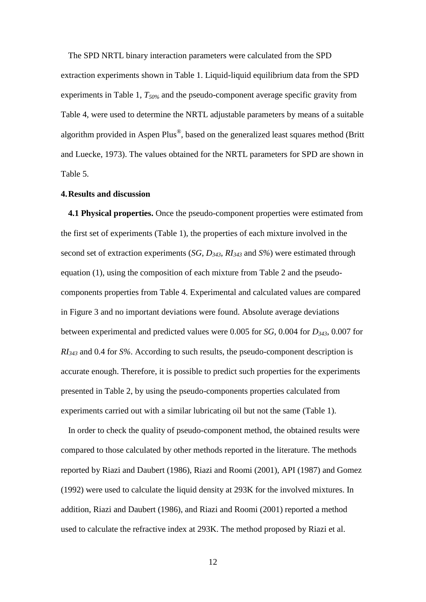The SPD NRTL binary interaction parameters were calculated from the SPD extraction experiments shown in Table 1. Liquid-liquid equilibrium data from the SPD experiments in Table 1, *T50%* and the pseudo-component average specific gravity from Table 4, were used to determine the NRTL adjustable parameters by means of a suitable algorithm provided in Aspen Plus®, based on the generalized least squares method (Britt and Luecke, 1973). The values obtained for the NRTL parameters for SPD are shown in Table 5.

# **4.Results and discussion**

**4.1 Physical properties.** Once the pseudo-component properties were estimated from the first set of experiments (Table 1), the properties of each mixture involved in the second set of extraction experiments (*SG*, *D343*, *RI<sup>343</sup>* and *S%*) were estimated through equation (1), using the composition of each mixture from Table 2 and the pseudocomponents properties from Table 4. Experimental and calculated values are compared in Figure 3 and no important deviations were found. Absolute average deviations between experimental and predicted values were 0.005 for *SG*, 0.004 for *D343*, 0.007 for *RI<sup>343</sup>* and 0.4 for *S%*. According to such results, the pseudo-component description is accurate enough. Therefore, it is possible to predict such properties for the experiments presented in Table 2, by using the pseudo-components properties calculated from experiments carried out with a similar lubricating oil but not the same (Table 1).

In order to check the quality of pseudo-component method, the obtained results were compared to those calculated by other methods reported in the literature. The methods reported by Riazi and Daubert (1986), Riazi and Roomi (2001), API (1987) and Gomez (1992) were used to calculate the liquid density at 293K for the involved mixtures. In addition, Riazi and Daubert (1986), and Riazi and Roomi (2001) reported a method used to calculate the refractive index at 293K. The method proposed by Riazi et al.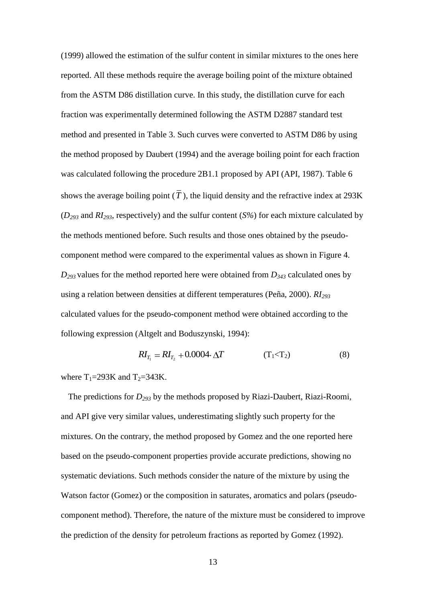(1999) allowed the estimation of the sulfur content in similar mixtures to the ones here reported. All these methods require the average boiling point of the mixture obtained from the ASTM D86 distillation curve. In this study, the distillation curve for each fraction was experimentally determined following the ASTM D2887 standard test method and presented in Table 3. Such curves were converted to ASTM D86 by using the method proposed by Daubert (1994) and the average boiling point for each fraction was calculated following the procedure 2B1.1 proposed by API (API, 1987). Table 6 shows the average boiling point  $(T)$ , the liquid density and the refractive index at 293K (*D<sup>293</sup>* and *RI293*, respectively) and the sulfur content (*S%*) for each mixture calculated by the methods mentioned before. Such results and those ones obtained by the pseudocomponent method were compared to the experimental values as shown in Figure 4. *D<sup>293</sup>* values for the method reported here were obtained from *D<sup>343</sup>* calculated ones by using a relation between densities at different temperatures (Peña, 2000). *RI<sup>293</sup>* calculated values for the pseudo-component method were obtained according to the following expression (Altgelt and Boduszynski, 1994):

$$
RI_{T_1} = RI_{T_2} + 0.0004 \cdot \Delta T \tag{8}
$$

where  $T_1 = 293K$  and  $T_2 = 343K$ .

The predictions for *D<sup>293</sup>* by the methods proposed by Riazi-Daubert, Riazi-Roomi, and API give very similar values, underestimating slightly such property for the mixtures. On the contrary, the method proposed by Gomez and the one reported here based on the pseudo-component properties provide accurate predictions, showing no systematic deviations. Such methods consider the nature of the mixture by using the Watson factor (Gomez) or the composition in saturates, aromatics and polars (pseudocomponent method). Therefore, the nature of the mixture must be considered to improve the prediction of the density for petroleum fractions as reported by Gomez (1992).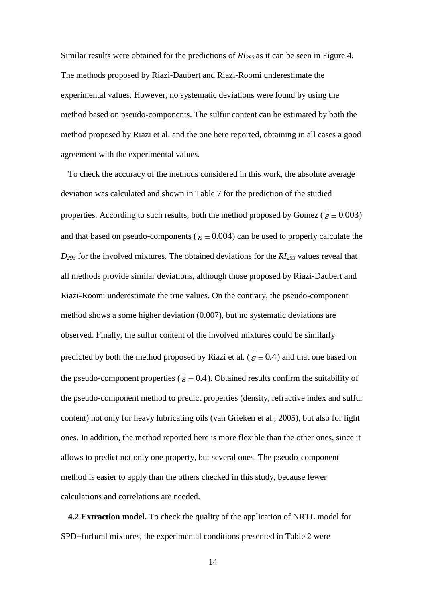Similar results were obtained for the predictions of *RI<sup>293</sup>* as it can be seen in Figure 4. The methods proposed by Riazi-Daubert and Riazi-Roomi underestimate the experimental values. However, no systematic deviations were found by using the method based on pseudo-components. The sulfur content can be estimated by both the method proposed by Riazi et al. and the one here reported, obtaining in all cases a good agreement with the experimental values.

To check the accuracy of the methods considered in this work, the absolute average deviation was calculated and shown in Table 7 for the prediction of the studied properties. According to such results, both the method proposed by Gomez ( $\bar{\epsilon} = 0.003$ ) and that based on pseudo-components ( $\epsilon = 0.004$ ) can be used to properly calculate the *D<sup>293</sup>* for the involved mixtures. The obtained deviations for the *RI<sup>293</sup>* values reveal that all methods provide similar deviations, although those proposed by Riazi-Daubert and Riazi-Roomi underestimate the true values. On the contrary, the pseudo-component method shows a some higher deviation (0.007), but no systematic deviations are observed. Finally, the sulfur content of the involved mixtures could be similarly predicted by both the method proposed by Riazi et al. ( $\varepsilon = 0.4$ ) and that one based on the pseudo-component properties ( $\epsilon = 0.4$ ). Obtained results confirm the suitability of the pseudo-component method to predict properties (density, refractive index and sulfur content) not only for heavy lubricating oils (van Grieken et al., 2005), but also for light ones. In addition, the method reported here is more flexible than the other ones, since it allows to predict not only one property, but several ones. The pseudo-component method is easier to apply than the others checked in this study, because fewer calculations and correlations are needed.

**4.2 Extraction model.** To check the quality of the application of NRTL model for SPD+furfural mixtures, the experimental conditions presented in Table 2 were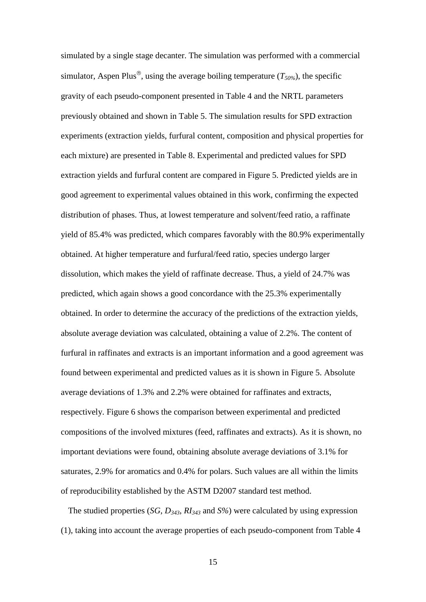simulated by a single stage decanter. The simulation was performed with a commercial simulator, Aspen Plus<sup>®</sup>, using the average boiling temperature  $(T_{50\%})$ , the specific gravity of each pseudo-component presented in Table 4 and the NRTL parameters previously obtained and shown in Table 5. The simulation results for SPD extraction experiments (extraction yields, furfural content, composition and physical properties for each mixture) are presented in Table 8. Experimental and predicted values for SPD extraction yields and furfural content are compared in Figure 5. Predicted yields are in good agreement to experimental values obtained in this work, confirming the expected distribution of phases. Thus, at lowest temperature and solvent/feed ratio, a raffinate yield of 85.4% was predicted, which compares favorably with the 80.9% experimentally obtained. At higher temperature and furfural/feed ratio, species undergo larger dissolution, which makes the yield of raffinate decrease. Thus, a yield of 24.7% was predicted, which again shows a good concordance with the 25.3% experimentally obtained. In order to determine the accuracy of the predictions of the extraction yields, absolute average deviation was calculated, obtaining a value of 2.2%. The content of furfural in raffinates and extracts is an important information and a good agreement was found between experimental and predicted values as it is shown in Figure 5. Absolute average deviations of 1.3% and 2.2% were obtained for raffinates and extracts, respectively. Figure 6 shows the comparison between experimental and predicted compositions of the involved mixtures (feed, raffinates and extracts). As it is shown, no important deviations were found, obtaining absolute average deviations of 3.1% for saturates, 2.9% for aromatics and 0.4% for polars. Such values are all within the limits of reproducibility established by the ASTM D2007 standard test method.

The studied properties (*SG*, *D343*, *RI<sup>343</sup>* and *S%*) were calculated by using expression (1), taking into account the average properties of each pseudo-component from Table 4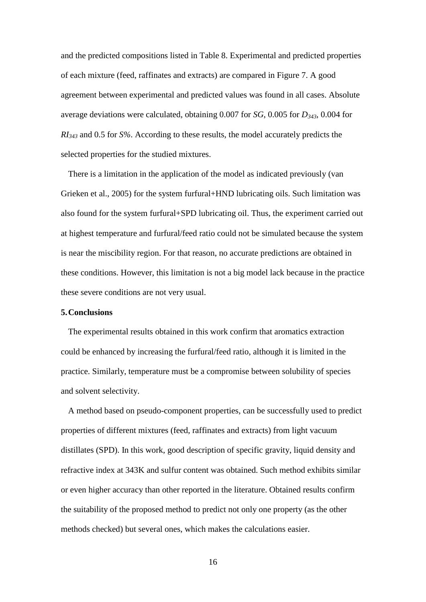and the predicted compositions listed in Table 8. Experimental and predicted properties of each mixture (feed, raffinates and extracts) are compared in Figure 7. A good agreement between experimental and predicted values was found in all cases. Absolute average deviations were calculated, obtaining 0.007 for *SG*, 0.005 for *D343*, 0.004 for *RI<sup>343</sup>* and 0.5 for *S%*. According to these results, the model accurately predicts the selected properties for the studied mixtures.

There is a limitation in the application of the model as indicated previously (van Grieken et al., 2005) for the system furfural+HND lubricating oils. Such limitation was also found for the system furfural+SPD lubricating oil. Thus, the experiment carried out at highest temperature and furfural/feed ratio could not be simulated because the system is near the miscibility region. For that reason, no accurate predictions are obtained in these conditions. However, this limitation is not a big model lack because in the practice these severe conditions are not very usual.

## **5.Conclusions**

The experimental results obtained in this work confirm that aromatics extraction could be enhanced by increasing the furfural/feed ratio, although it is limited in the practice. Similarly, temperature must be a compromise between solubility of species and solvent selectivity.

A method based on pseudo-component properties, can be successfully used to predict properties of different mixtures (feed, raffinates and extracts) from light vacuum distillates (SPD). In this work, good description of specific gravity, liquid density and refractive index at 343K and sulfur content was obtained. Such method exhibits similar or even higher accuracy than other reported in the literature. Obtained results confirm the suitability of the proposed method to predict not only one property (as the other methods checked) but several ones, which makes the calculations easier.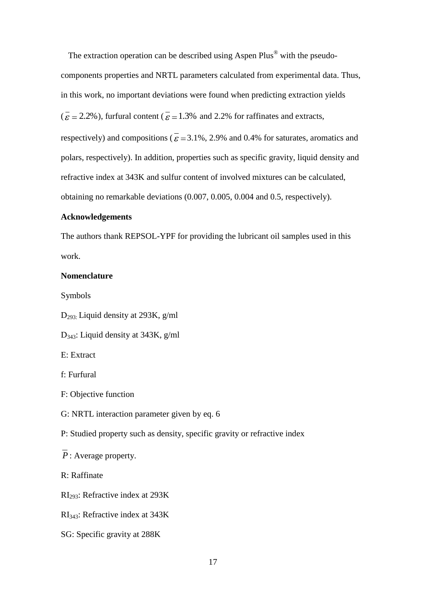The extraction operation can be described using Aspen Plus® with the pseudocomponents properties and NRTL parameters calculated from experimental data. Thus, in this work, no important deviations were found when predicting extraction yields  $\overline{c} = 2.2\%$ ), furfural content  $\overline{c} = 1.3\%$  and 2.2% for raffinates and extracts, respectively) and compositions ( $\overline{\epsilon}$  = 3.1%, 2.9% and 0.4% for saturates, aromatics and polars, respectively). In addition, properties such as specific gravity, liquid density and refractive index at 343K and sulfur content of involved mixtures can be calculated, obtaining no remarkable deviations (0.007, 0.005, 0.004 and 0.5, respectively).

# **Acknowledgements**

The authors thank REPSOL-YPF for providing the lubricant oil samples used in this work.

# **Nomenclature**

Symbols

D293: Liquid density at 293K, g/ml

D343: Liquid density at 343K, g/ml

E: Extract

f: Furfural

F: Objective function

G: NRTL interaction parameter given by eq. 6

P: Studied property such as density, specific gravity or refractive index

*P* : Average property.

R: Raffinate

RI293: Refractive index at 293K

RI343: Refractive index at 343K

SG: Specific gravity at 288K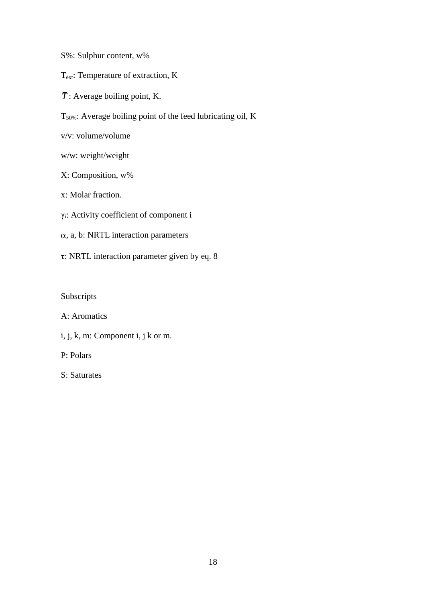- S%: Sulphur content, w%
- Text: Temperature of extraction, K
- $\overline{T}$ : Average boiling point, K.
- T50%: Average boiling point of the feed lubricating oil, K
- v/v: volume/volume
- w/w: weight/weight
- X: Composition, w%
- x: Molar fraction.
- γi: Activity coefficient of component i
- $\alpha$ , a, b: NRTL interaction parameters
- : NRTL interaction parameter given by eq. 8

Subscripts

A: Aromatics

i, j, k, m: Component i, j k or m.

P: Polars

S: Saturates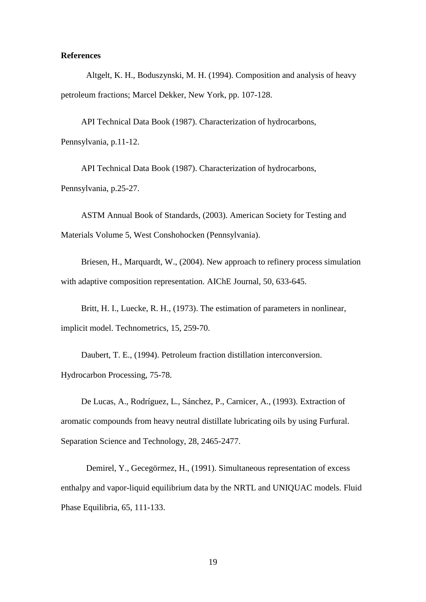# **References**

Altgelt, K. H., Boduszynski, M. H. (1994). Composition and analysis of heavy petroleum fractions; Marcel Dekker, New York, pp. 107-128.

API Technical Data Book (1987). Characterization of hydrocarbons, Pennsylvania, p.11-12.

API Technical Data Book (1987). Characterization of hydrocarbons, Pennsylvania, p.25-27.

ASTM Annual Book of Standards, (2003). American Society for Testing and Materials Volume 5, West Conshohocken (Pennsylvania).

Briesen, H., Marquardt, W., (2004). New approach to refinery process simulation with adaptive composition representation. AIChE Journal, 50, 633-645.

Britt, H. I., Luecke, R. H., (1973). The estimation of parameters in nonlinear, implicit model. Technometrics, 15, 259-70.

Daubert, T. E., (1994). Petroleum fraction distillation interconversion. Hydrocarbon Processing, 75-78.

De Lucas, A., Rodríguez, L., Sánchez, P., Carnicer, A., (1993). Extraction of aromatic compounds from heavy neutral distillate lubricating oils by using Furfural. Separation Science and Technology, 28, 2465-2477.

Demirel, Y., Gecegörmez, H., (1991). Simultaneous representation of excess enthalpy and vapor-liquid equilibrium data by the NRTL and UNIQUAC models. Fluid Phase Equilibria, 65, 111-133.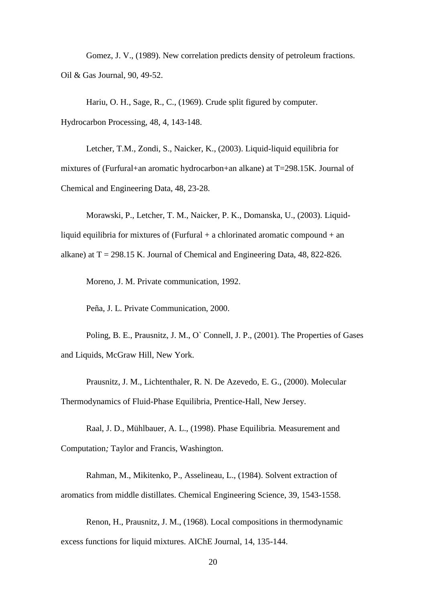Gomez, J. V., (1989). New correlation predicts density of petroleum fractions. Oil & Gas Journal, 90, 49-52.

Hariu, O. H., Sage, R., C., (1969). Crude split figured by computer. Hydrocarbon Processing, 48, 4, 143-148.

Letcher, T.M., Zondi, S., Naicker, K., (2003). Liquid-liquid equilibria for mixtures of (Furfural+an aromatic hydrocarbon+an alkane) at T=298.15K. Journal of Chemical and Engineering Data, 48, 23-28.

Morawski, P., Letcher, T. M., Naicker, P. K., Domanska, U., (2003). Liquidliquid equilibria for mixtures of (Furfural  $+$  a chlorinated aromatic compound  $+$  an alkane) at  $T = 298.15$  K. Journal of Chemical and Engineering Data, 48, 822-826.

Moreno, J. M. Private communication, 1992.

Peña, J. L. Private Communication, 2000.

Poling, B. E., Prausnitz, J. M., O` Connell, J. P., (2001). The Properties of Gases and Liquids, McGraw Hill, New York.

Prausnitz, J. M., Lichtenthaler, R. N. De Azevedo, E. G., (2000). Molecular Thermodynamics of Fluid-Phase Equilibria, Prentice-Hall, New Jersey.

Raal, J. D., Mühlbauer, A. L., (1998). Phase Equilibria*.* Measurement and Computation*;* Taylor and Francis, Washington.

Rahman, M., Mikitenko, P., Asselineau, L., (1984). Solvent extraction of aromatics from middle distillates. Chemical Engineering Science, 39, 1543-1558.

Renon, H., Prausnitz, J. M., (1968). Local compositions in thermodynamic excess functions for liquid mixtures. AIChE Journal, 14, 135-144.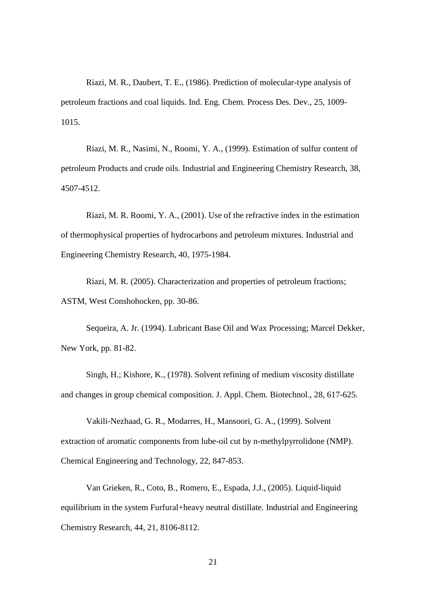Riazi, M. R., Daubert, T. E., (1986). Prediction of molecular-type analysis of petroleum fractions and coal liquids. Ind. Eng. Chem. Process Des. Dev., 25, 1009- 1015.

Riazi, M. R., Nasimi, N., Roomi, Y. A., (1999). Estimation of sulfur content of petroleum Products and crude oils. Industrial and Engineering Chemistry Research, 38, 4507-4512.

Riazi, M. R. Roomi, Y. A., (2001). Use of the refractive index in the estimation of thermophysical properties of hydrocarbons and petroleum mixtures. Industrial and Engineering Chemistry Research, 40, 1975-1984.

Riazi, M. R. (2005). Characterization and properties of petroleum fractions; ASTM, West Conshohocken, pp. 30-86.

Sequeira, A. Jr. (1994). Lubricant Base Oil and Wax Processing; Marcel Dekker, New York, pp. 81-82.

Singh, H.; Kishore, K., (1978). Solvent refining of medium viscosity distillate and changes in group chemical composition. J. Appl. Chem. Biotechnol., 28, 617-625.

Vakili-Nezhaad, G. R., Modarres, H., Mansoori, G. A., (1999). Solvent extraction of aromatic components from lube-oil cut by n-methylpyrrolidone (NMP). Chemical Engineering and Technology, 22, 847-853.

Van Grieken, R., Coto, B., Romero, E., Espada, J.J., (2005). Liquid-liquid equilibrium in the system Furfural+heavy neutral distillate. Industrial and Engineering Chemistry Research, 44, 21, 8106-8112.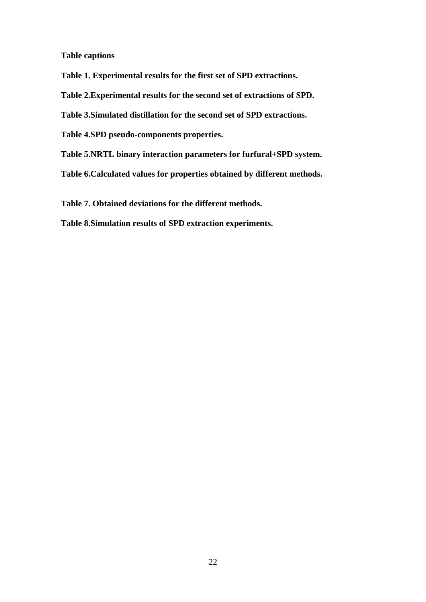**Table captions**

**Table 1. Experimental results for the first set of SPD extractions.**

**Table 2.Experimental results for the second set of extractions of SPD.**

**Table 3.Simulated distillation for the second set of SPD extractions.**

**Table 4.SPD pseudo-components properties.**

**Table 5.NRTL binary interaction parameters for furfural+SPD system.**

**Table 6.Calculated values for properties obtained by different methods.**

**Table 7. Obtained deviations for the different methods.**

**Table 8.Simulation results of SPD extraction experiments.**